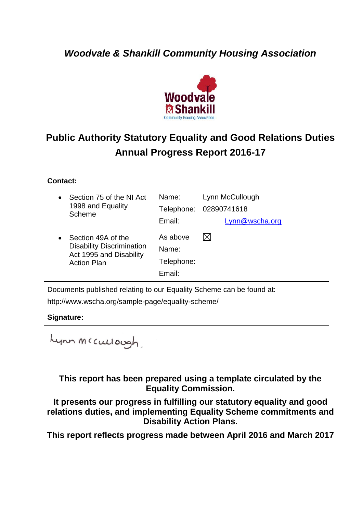## *Woodvale & Shankill Community Housing Association*



# **Public Authority Statutory Equality and Good Relations Duties Annual Progress Report 2016-17**

### **Contact:**

| Section 75 of the NI Act<br>$\bullet$<br>1998 and Equality<br>Scheme                                    | Name:<br>Email:                           | Lynn McCullough<br>Telephone: 02890741618<br>Lynn@wscha.org |
|---------------------------------------------------------------------------------------------------------|-------------------------------------------|-------------------------------------------------------------|
| Section 49A of the<br><b>Disability Discrimination</b><br>Act 1995 and Disability<br><b>Action Plan</b> | As above<br>Name:<br>Telephone:<br>Email: | $\boxtimes$                                                 |

Documents published relating to our Equality Scheme can be found at:

http://www.wscha.org/sample-page/equality-scheme/

#### **Signature:**

Lynn Mccullough.

**This report has been prepared using a template circulated by the Equality Commission.** 

**It presents our progress in fulfilling our statutory equality and good relations duties, and implementing Equality Scheme commitments and Disability Action Plans.**

**This report reflects progress made between April 2016 and March 2017**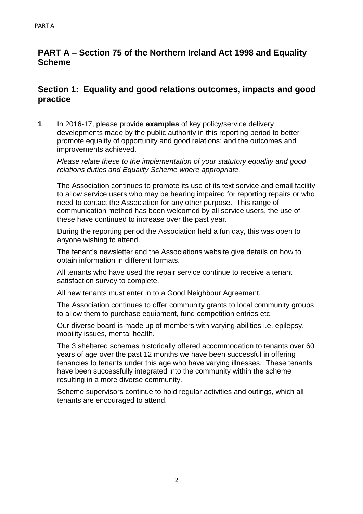## **PART A – Section 75 of the Northern Ireland Act 1998 and Equality Scheme**

## **Section 1: Equality and good relations outcomes, impacts and good practice**

**1** In 2016-17, please provide **examples** of key policy/service delivery developments made by the public authority in this reporting period to better promote equality of opportunity and good relations; and the outcomes and improvements achieved.

*Please relate these to the implementation of your statutory equality and good relations duties and Equality Scheme where appropriate.*

The Association continues to promote its use of its text service and email facility to allow service users who may be hearing impaired for reporting repairs or who need to contact the Association for any other purpose. This range of communication method has been welcomed by all service users, the use of these have continued to increase over the past year.

During the reporting period the Association held a fun day, this was open to anyone wishing to attend.

The tenant's newsletter and the Associations website give details on how to obtain information in different formats.

All tenants who have used the repair service continue to receive a tenant satisfaction survey to complete.

All new tenants must enter in to a Good Neighbour Agreement.

The Association continues to offer community grants to local community groups to allow them to purchase equipment, fund competition entries etc.

Our diverse board is made up of members with varying abilities i.e. epilepsy, mobility issues, mental health.

The 3 sheltered schemes historically offered accommodation to tenants over 60 years of age over the past 12 months we have been successful in offering tenancies to tenants under this age who have varying illnesses. These tenants have been successfully integrated into the community within the scheme resulting in a more diverse community.

Scheme supervisors continue to hold regular activities and outings, which all tenants are encouraged to attend.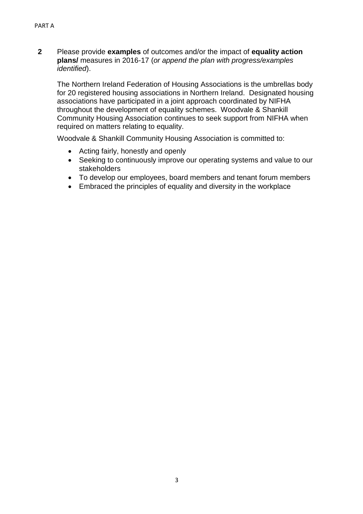**2** Please provide **examples** of outcomes and/or the impact of **equality action plans/** measures in 2016-17 (*or append the plan with progress/examples identified*).

The Northern Ireland Federation of Housing Associations is the umbrellas body for 20 registered housing associations in Northern Ireland. Designated housing associations have participated in a joint approach coordinated by NIFHA throughout the development of equality schemes. Woodvale & Shankill Community Housing Association continues to seek support from NIFHA when required on matters relating to equality.

Woodvale & Shankill Community Housing Association is committed to:

- Acting fairly, honestly and openly
- Seeking to continuously improve our operating systems and value to our stakeholders
- To develop our employees, board members and tenant forum members
- Embraced the principles of equality and diversity in the workplace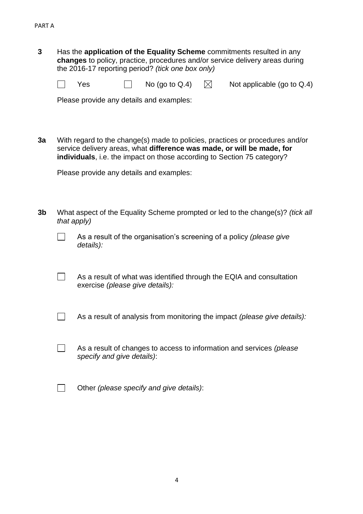**3** Has the **application of the Equality Scheme** commitments resulted in any **changes** to policy, practice, procedures and/or service delivery areas during the 2016-17 reporting period? *(tick one box only)*

 $\Box$ Yes  $\Box$  No (go to Q.4)  $\boxtimes$  Not applicable (go to Q.4)

Please provide any details and examples:

**3a** With regard to the change(s) made to policies, practices or procedures and/or service delivery areas, what **difference was made, or will be made, for individuals**, i.e. the impact on those according to Section 75 category?

Please provide any details and examples:

- **3b** What aspect of the Equality Scheme prompted or led to the change(s)? *(tick all that apply)*
	- $\vert \ \ \vert$ As a result of the organisation's screening of a policy *(please give details):*
	- $\Box$ As a result of what was identified through the EQIA and consultation exercise *(please give details):*
	- $\Box$ As a result of analysis from monitoring the impact *(please give details):*
	- $\Box$ As a result of changes to access to information and services *(please specify and give details)*:
	- $\Box$ Other *(please specify and give details)*: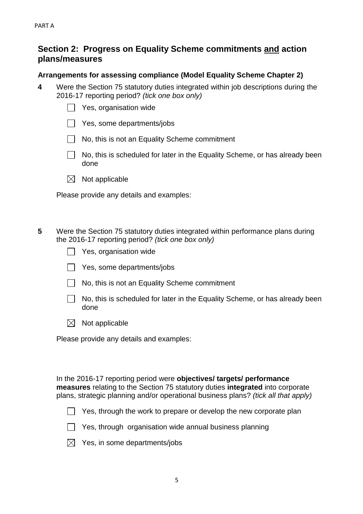## **Section 2: Progress on Equality Scheme commitments and action plans/measures**

#### **Arrangements for assessing compliance (Model Equality Scheme Chapter 2)**

**4** Were the Section 75 statutory duties integrated within job descriptions during the 2016-17 reporting period? *(tick one box only)*

| Yes, organisation wide |  |
|------------------------|--|
|------------------------|--|

- $\Box$  Yes, some departments/jobs
- No, this is not an Equality Scheme commitment
- No, this is scheduled for later in the Equality Scheme, or has already been done
- $\boxtimes$  Not applicable

Please provide any details and examples:

- **5** Were the Section 75 statutory duties integrated within performance plans during the 2016-17 reporting period? *(tick one box only)*
	- $\Box$  Yes, organisation wide
	- $\Box$  Yes, some departments/jobs
	- No, this is not an Equality Scheme commitment
	- $\Box$ No, this is scheduled for later in the Equality Scheme, or has already been done
	- $\boxtimes$  Not applicable

Please provide any details and examples:

In the 2016-17 reporting period were **objectives/ targets/ performance measures** relating to the Section 75 statutory duties **integrated** into corporate plans, strategic planning and/or operational business plans? *(tick all that apply)*

- $\Box$  Yes, through the work to prepare or develop the new corporate plan
- $\Box$  Yes, through organisation wide annual business planning

|  |  |  |  | $\boxtimes$ Yes, in some departments/jobs |
|--|--|--|--|-------------------------------------------|
|--|--|--|--|-------------------------------------------|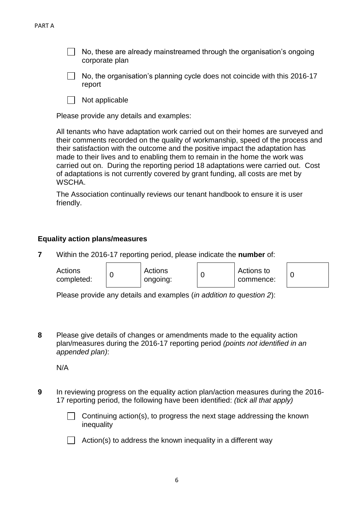No, these are already mainstreamed through the organisation's ongoing corporate plan

- $\Box$  No, the organisation's planning cycle does not coincide with this 2016-17 report
- Not applicable  $\Box$

Please provide any details and examples:

All tenants who have adaptation work carried out on their homes are surveyed and their comments recorded on the quality of workmanship, speed of the process and their satisfaction with the outcome and the positive impact the adaptation has made to their lives and to enabling them to remain in the home the work was carried out on. During the reporting period 18 adaptations were carried out. Cost of adaptations is not currently covered by grant funding, all costs are met by WSCHA.

The Association continually reviews our tenant handbook to ensure it is user friendly.

#### **Equality action plans/measures**

**7** Within the 2016-17 reporting period, please indicate the **number** of:

| Actions<br>Actions<br>completed:<br>ongoing: |  | Actions to<br>commence: |  |
|----------------------------------------------|--|-------------------------|--|
|----------------------------------------------|--|-------------------------|--|

Please provide any details and examples (*in addition to question 2*):

**8** Please give details of changes or amendments made to the equality action plan/measures during the 2016-17 reporting period *(points not identified in an appended plan)*:

N/A

**9** In reviewing progress on the equality action plan/action measures during the 2016- 17 reporting period, the following have been identified: *(tick all that apply)*

> Continuing action(s), to progress the next stage addressing the known inequality

 $\Box$  Action(s) to address the known inequality in a different way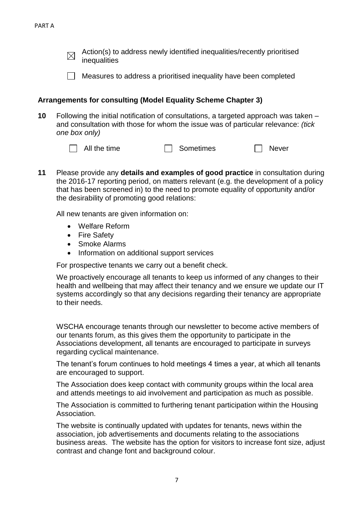Action(s) to address newly identified inequalities/recently prioritised  $\boxtimes$ inequalities

 $\Box$  Measures to address a prioritised inequality have been completed

#### **Arrangements for consulting (Model Equality Scheme Chapter 3)**

- **10** Following the initial notification of consultations, a targeted approach was taken and consultation with those for whom the issue was of particular relevance: *(tick one box only)*
	- $\Box$  All the time  $\Box$  Sometimes  $\Box$  Never
- **11** Please provide any **details and examples of good practice** in consultation during the 2016-17 reporting period, on matters relevant (e.g. the development of a policy that has been screened in) to the need to promote equality of opportunity and/or the desirability of promoting good relations:

All new tenants are given information on:

- Welfare Reform
- Fire Safety
- Smoke Alarms
- Information on additional support services

For prospective tenants we carry out a benefit check.

We proactively encourage all tenants to keep us informed of any changes to their health and wellbeing that may affect their tenancy and we ensure we update our IT systems accordingly so that any decisions regarding their tenancy are appropriate to their needs.

WSCHA encourage tenants through our newsletter to become active members of our tenants forum, as this gives them the opportunity to participate in the Associations development, all tenants are encouraged to participate in surveys regarding cyclical maintenance.

The tenant's forum continues to hold meetings 4 times a year, at which all tenants are encouraged to support.

The Association does keep contact with community groups within the local area and attends meetings to aid involvement and participation as much as possible.

The Association is committed to furthering tenant participation within the Housing Association.

The website is continually updated with updates for tenants, news within the association, job advertisements and documents relating to the associations business areas. The website has the option for visitors to increase font size, adjust contrast and change font and background colour.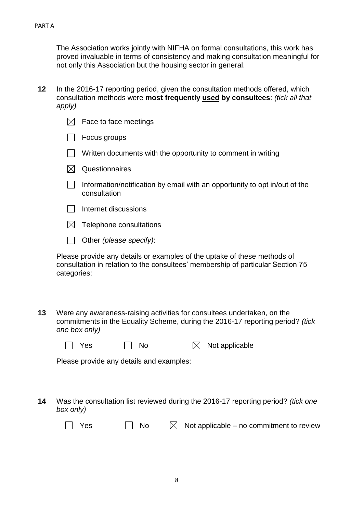The Association works jointly with NIFHA on formal consultations, this work has proved invaluable in terms of consistency and making consultation meaningful for not only this Association but the housing sector in general.

**12** In the 2016-17 reporting period, given the consultation methods offered, which consultation methods were **most frequently used by consultees**: *(tick all that apply)*

|    | $\boxtimes$ | Face to face meetings                                                                                                                                                      |
|----|-------------|----------------------------------------------------------------------------------------------------------------------------------------------------------------------------|
|    |             | Focus groups                                                                                                                                                               |
|    |             | Written documents with the opportunity to comment in writing                                                                                                               |
|    | $\boxtimes$ | Questionnaires                                                                                                                                                             |
|    |             | Information/notification by email with an opportunity to opt in/out of the<br>consultation                                                                                 |
|    |             | Internet discussions                                                                                                                                                       |
|    | $\bowtie$   | Telephone consultations                                                                                                                                                    |
|    |             | Other (please specify):                                                                                                                                                    |
|    | categories: | Please provide any details or examples of the uptake of these methods of<br>consultation in relation to the consultees' membership of particular Section 75                |
| 13 |             | Were any awareness-raising activities for consultees undertaken, on the<br>commitments in the Equality Scheme, during the 2016-17 reporting period? (tick<br>one box only) |
|    |             | <b>No</b><br>Not applicable<br>Yes<br>$\bowtie$                                                                                                                            |
|    |             | Please provide any details and examples:                                                                                                                                   |
|    |             |                                                                                                                                                                            |
| 14 | box only)   | Was the consultation list reviewed during the 2016-17 reporting period? (tick one                                                                                          |
|    |             | No<br>$\boxtimes$<br>Not applicable – no commitment to review<br>Yes                                                                                                       |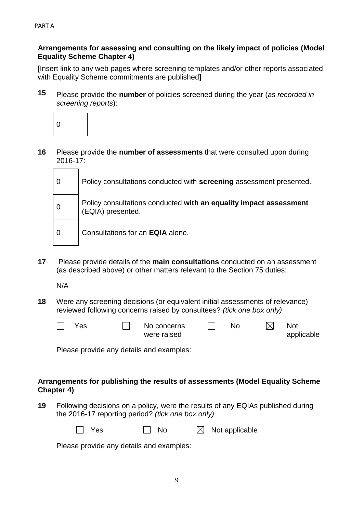#### **Arrangements for assessing and consulting on the likely impact of policies (Model Equality Scheme Chapter 4)**

[Insert link to any web pages where screening templates and/or other reports associated with Equality Scheme commitments are published]

**15** Please provide the **number** of policies screened during the year (*as recorded in screening reports*):



**16** Please provide the **number of assessments** that were consulted upon during 2016-17:

| $\overline{0}$ | Policy consultations conducted with screening assessment presented.                    |
|----------------|----------------------------------------------------------------------------------------|
| $\mathbf 0$    | Policy consultations conducted with an equality impact assessment<br>(EQIA) presented. |
| 0              | Consultations for an <b>EQIA</b> alone.                                                |

**17** Please provide details of the **main consultations** conducted on an assessment (as described above) or other matters relevant to the Section 75 duties:

N/A

**18** Were any screening decisions (or equivalent initial assessments of relevance) reviewed following concerns raised by consultees? *(tick one box only)*

| Yes | No concerns | No | <b>Not</b> |
|-----|-------------|----|------------|
|     | were raised |    | applicable |

Please provide any details and examples:

#### **Arrangements for publishing the results of assessments (Model Equality Scheme Chapter 4)**

**19** Following decisions on a policy, were the results of any EQIAs published during the 2016-17 reporting period? *(tick one box only)*

> Yes  $\Box$  No  $\boxtimes$  Not applicable  $\mathbf{I}$

Please provide any details and examples: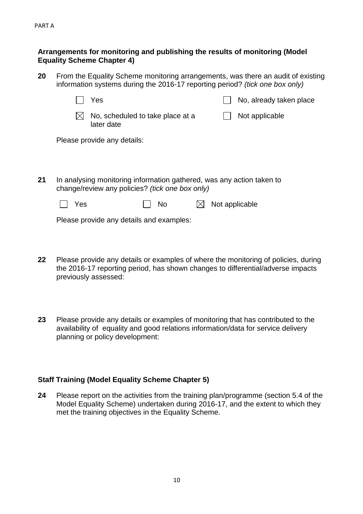#### **Arrangements for monitoring and publishing the results of monitoring (Model Equality Scheme Chapter 4)**

**20** From the Equality Scheme monitoring arrangements, was there an audit of existing information systems during the 2016-17 reporting period? *(tick one box only)*

|    |     | Yes                         |                                                                                                                          |  | No, already taken place |
|----|-----|-----------------------------|--------------------------------------------------------------------------------------------------------------------------|--|-------------------------|
|    | IХ  | later date                  | No, scheduled to take place at a                                                                                         |  | Not applicable          |
|    |     | Please provide any details: |                                                                                                                          |  |                         |
|    |     |                             |                                                                                                                          |  |                         |
|    |     |                             |                                                                                                                          |  |                         |
| 21 |     |                             | In analysing monitoring information gathered, was any action taken to<br>change/review any policies? (tick one box only) |  |                         |
|    | Yes |                             | No                                                                                                                       |  | Not applicable          |
|    |     |                             |                                                                                                                          |  |                         |

Please provide any details and examples:

- **22** Please provide any details or examples of where the monitoring of policies, during the 2016-17 reporting period, has shown changes to differential/adverse impacts previously assessed:
- **23** Please provide any details or examples of monitoring that has contributed to the availability of equality and good relations information/data for service delivery planning or policy development:

#### **Staff Training (Model Equality Scheme Chapter 5)**

**24** Please report on the activities from the training plan/programme (section 5.4 of the Model Equality Scheme) undertaken during 2016-17, and the extent to which they met the training objectives in the Equality Scheme.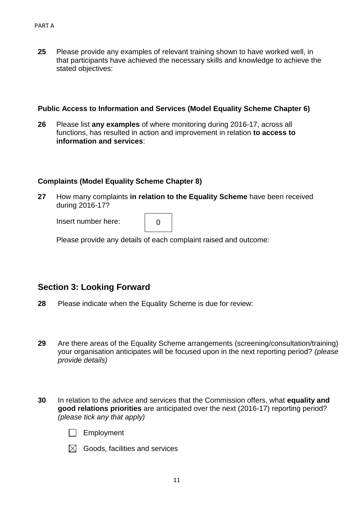**25** Please provide any examples of relevant training shown to have worked well, in that participants have achieved the necessary skills and knowledge to achieve the stated objectives:

#### **Public Access to Information and Services (Model Equality Scheme Chapter 6)**

**26** Please list **any examples** of where monitoring during 2016-17, across all functions, has resulted in action and improvement in relation **to access to information and services**:

#### **Complaints (Model Equality Scheme Chapter 8)**

**27** How many complaints **in relation to the Equality Scheme** have been received during 2016-17?

Insert number here:

|--|

Please provide any details of each complaint raised and outcome:

## **Section 3: Looking Forward**

- **28** Please indicate when the Equality Scheme is due for review:
- **29** Are there areas of the Equality Scheme arrangements (screening/consultation/training) your organisation anticipates will be focused upon in the next reporting period? *(please provide details)*
- **30** In relation to the advice and services that the Commission offers, what **equality and good relations priorities** are anticipated over the next (2016-17) reporting period? *(please tick any that apply)*
	- $\Box$  Employment



 $\boxtimes$  Goods, facilities and services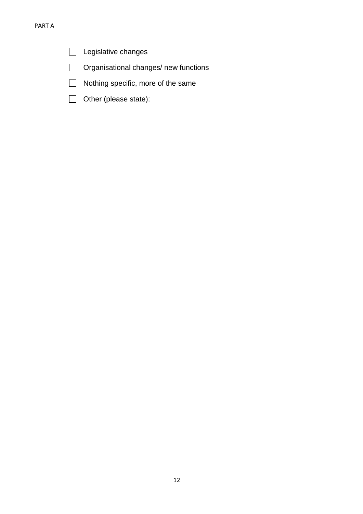- $\Box$  Legislative changes
- Organisational changes/ new functions
- Nothing specific, more of the same
- Other (please state):  $\Box$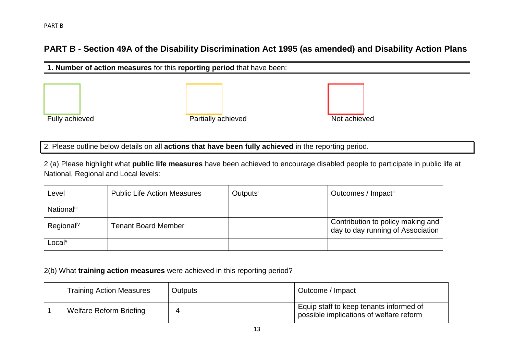## **PART B - Section 49A of the Disability Discrimination Act 1995 (as amended) and Disability Action Plans**

| 1. Number of action measures for this reporting period that have been: |                    |              |  |  |
|------------------------------------------------------------------------|--------------------|--------------|--|--|
|                                                                        |                    |              |  |  |
|                                                                        |                    |              |  |  |
|                                                                        |                    |              |  |  |
| Fully achieved                                                         | Partially achieved | Not achieved |  |  |

2. Please outline below details on all **actions that have been fully achieved** in the reporting period.

2 (a) Please highlight what **public life measures** have been achieved to encourage disabled people to participate in public life at National, Regional and Local levels:

| Level                 | <b>Public Life Action Measures</b> | Outputsi | Outcomes / Impacti                                                     |
|-----------------------|------------------------------------|----------|------------------------------------------------------------------------|
| <b>National</b> iii   |                                    |          |                                                                        |
| Regionaliv            | Tenant Board Member                |          | Contribution to policy making and<br>day to day running of Association |
| $\text{Local}^{\vee}$ |                                    |          |                                                                        |

2(b) What **training action measures** were achieved in this reporting period?

| <b>Training Action Measures</b> | <b>Outputs</b> | Outcome / Impact                                                                   |
|---------------------------------|----------------|------------------------------------------------------------------------------------|
| <b>Welfare Reform Briefing</b>  |                | Equip staff to keep tenants informed of<br>possible implications of welfare reform |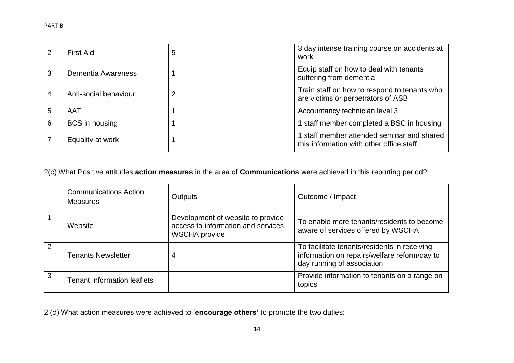|   | First Aid             | 5 | 3 day intense training course on accidents at<br>work                                   |
|---|-----------------------|---|-----------------------------------------------------------------------------------------|
| 3 | Dementia Awareness    |   | Equip staff on how to deal with tenants<br>suffering from dementia                      |
| 4 | Anti-social behaviour | 2 | Train staff on how to respond to tenants who<br>are victims or perpetrators of ASB      |
| 5 | <b>AAT</b>            |   | Accountancy technician level 3                                                          |
| 6 | BCS in housing        |   | 1 staff member completed a BSC in housing                                               |
|   | Equality at work      |   | 1 staff member attended seminar and shared<br>this information with other office staff. |

2(c) What Positive attitudes **action measures** in the area of **Communications** were achieved in this reporting period?

|   | <b>Communications Action</b><br><b>Measures</b> | <b>Outputs</b>                                                                                  | Outcome / Impact                                                                                                           |
|---|-------------------------------------------------|-------------------------------------------------------------------------------------------------|----------------------------------------------------------------------------------------------------------------------------|
|   | Website                                         | Development of website to provide<br>access to information and services<br><b>WSCHA</b> provide | To enable more tenants/residents to become<br>aware of services offered by WSCHA                                           |
| 2 | <b>Tenants Newsletter</b>                       | $\overline{4}$                                                                                  | To facilitate tenants/residents in receiving<br>information on repairs/welfare reform/day to<br>day running of association |
| 3 | <b>Tenant information leaflets</b>              |                                                                                                 | Provide information to tenants on a range on<br>topics                                                                     |

2 (d) What action measures were achieved to '**encourage others'** to promote the two duties: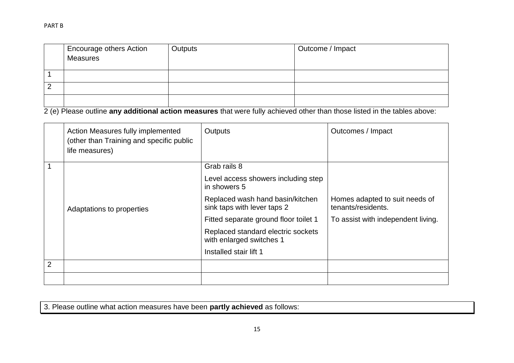| Encourage others Action | Outputs | Outcome / Impact |
|-------------------------|---------|------------------|
| <b>Measures</b>         |         |                  |
|                         |         |                  |
|                         |         |                  |
|                         |         |                  |
|                         |         |                  |

2 (e) Please outline **any additional action measures** that were fully achieved other than those listed in the tables above:

|                | Action Measures fully implemented<br>(other than Training and specific public<br>life measures) | Outputs                                                         | Outcomes / Impact                                    |
|----------------|-------------------------------------------------------------------------------------------------|-----------------------------------------------------------------|------------------------------------------------------|
|                |                                                                                                 | Grab rails 8                                                    |                                                      |
|                |                                                                                                 | Level access showers including step<br>in showers 5             |                                                      |
|                | Adaptations to properties                                                                       | Replaced wash hand basin/kitchen<br>sink taps with lever taps 2 | Homes adapted to suit needs of<br>tenants/residents. |
|                |                                                                                                 | Fitted separate ground floor toilet 1                           | To assist with independent living.                   |
|                |                                                                                                 | Replaced standard electric sockets<br>with enlarged switches 1  |                                                      |
|                |                                                                                                 | Installed stair lift 1                                          |                                                      |
| $\overline{2}$ |                                                                                                 |                                                                 |                                                      |
|                |                                                                                                 |                                                                 |                                                      |

3. Please outline what action measures have been **partly achieved** as follows: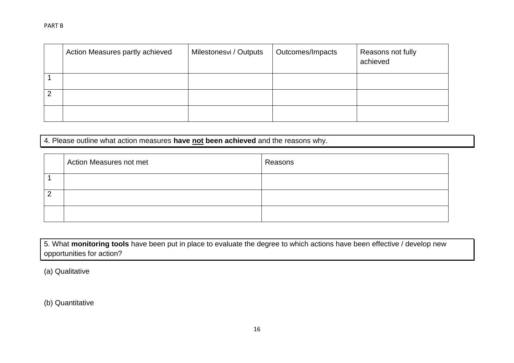#### PART B

| Action Measures partly achieved | Milestonesvi / Outputs | Outcomes/Impacts | Reasons not fully<br>achieved |
|---------------------------------|------------------------|------------------|-------------------------------|
|                                 |                        |                  |                               |
|                                 |                        |                  |                               |
|                                 |                        |                  |                               |

4. Please outline what action measures **have not been achieved** and the reasons why.

| Action Measures not met | Reasons |
|-------------------------|---------|
|                         |         |
|                         |         |
|                         |         |

5. What **monitoring tools** have been put in place to evaluate the degree to which actions have been effective / develop new opportunities for action?

(a) Qualitative

(b) Quantitative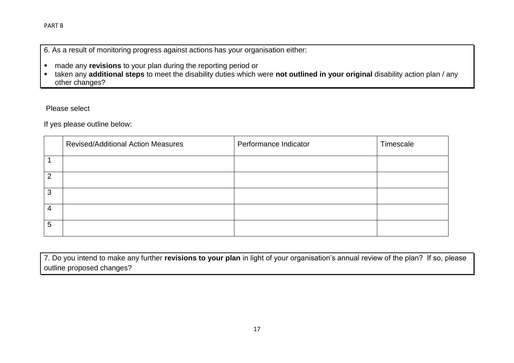6. As a result of monitoring progress against actions has your organisation either:

- made any **revisions** to your plan during the reporting period or
- taken any **additional steps** to meet the disability duties which were **not outlined in your original** disability action plan / any other changes?

Please select

If yes please outline below:

|   | <b>Revised/Additional Action Measures</b> | Performance Indicator | Timescale |
|---|-------------------------------------------|-----------------------|-----------|
|   |                                           |                       |           |
| റ |                                           |                       |           |
| 3 |                                           |                       |           |
| 4 |                                           |                       |           |
| 5 |                                           |                       |           |

7. Do you intend to make any further **revisions to your plan** in light of your organisation's annual review of the plan? If so, please outline proposed changes?